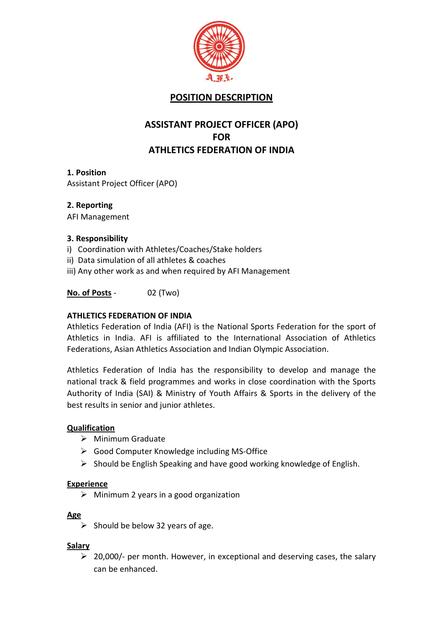

# **POSITION DESCRIPTION**

## **ASSISTANT PROJECT OFFICER (APO) FOR ATHLETICS FEDERATION OF INDIA**

## **1. Position** Assistant Project Officer (APO)

**2. Reporting**

AFI Management

## **3. Responsibility**

- i) Coordination with Athletes/Coaches/Stake holders
- ii) Data simulation of all athletes & coaches
- iii) Any other work as and when required by AFI Management

## **No. of Posts** - 02 (Two)

## **ATHLETICS FEDERATION OF INDIA**

Athletics Federation of India (AFI) is the National Sports Federation for the sport of Athletics in India. AFI is affiliated to the International Association of Athletics Federations, Asian Athletics Association and Indian Olympic Association.

Athletics Federation of India has the responsibility to develop and manage the national track & field programmes and works in close coordination with the Sports Authority of India (SAI) & Ministry of Youth Affairs & Sports in the delivery of the best results in senior and junior athletes.

## **Qualification**

- $\triangleright$  Minimum Graduate
- Good Computer Knowledge including MS-Office
- $\triangleright$  Should be English Speaking and have good working knowledge of English.

#### **Experience**

 $\triangleright$  Minimum 2 years in a good organization

#### **Age**

 $\triangleright$  Should be below 32 years of age.

## **Salary**

 $\geq$  20,000/- per month. However, in exceptional and deserving cases, the salary can be enhanced.